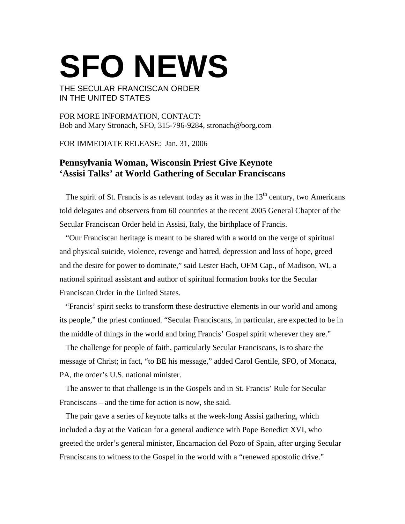## **SFO NEWS**

THE SECULAR FRANCISCAN ORDER IN THE UNITED STATES

FOR MORE INFORMATION, CONTACT: Bob and Mary Stronach, SFO, 315-796-9284, stronach@borg.com

FOR IMMEDIATE RELEASE: Jan. 31, 2006

## **Pennsylvania Woman, Wisconsin Priest Give Keynote 'Assisi Talks' at World Gathering of Secular Franciscans**

The spirit of St. Francis is as relevant today as it was in the  $13<sup>th</sup>$  century, two Americans told delegates and observers from 60 countries at the recent 2005 General Chapter of the Secular Franciscan Order held in Assisi, Italy, the birthplace of Francis.

"Our Franciscan heritage is meant to be shared with a world on the verge of spiritual and physical suicide, violence, revenge and hatred, depression and loss of hope, greed and the desire for power to dominate," said Lester Bach, OFM Cap., of Madison, WI, a national spiritual assistant and author of spiritual formation books for the Secular Franciscan Order in the United States.

"Francis' spirit seeks to transform these destructive elements in our world and among its people," the priest continued. "Secular Franciscans, in particular, are expected to be in the middle of things in the world and bring Francis' Gospel spirit wherever they are."

The challenge for people of faith, particularly Secular Franciscans, is to share the message of Christ; in fact, "to BE his message," added Carol Gentile, SFO, of Monaca, PA, the order's U.S. national minister.

The answer to that challenge is in the Gospels and in St. Francis' Rule for Secular Franciscans – and the time for action is now, she said.

The pair gave a series of keynote talks at the week-long Assisi gathering, which included a day at the Vatican for a general audience with Pope Benedict XVI, who greeted the order's general minister, Encarnacion del Pozo of Spain, after urging Secular Franciscans to witness to the Gospel in the world with a "renewed apostolic drive."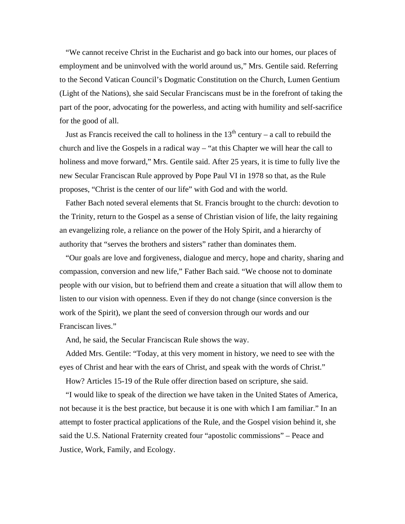"We cannot receive Christ in the Eucharist and go back into our homes, our places of employment and be uninvolved with the world around us," Mrs. Gentile said. Referring to the Second Vatican Council's Dogmatic Constitution on the Church, Lumen Gentium (Light of the Nations), she said Secular Franciscans must be in the forefront of taking the part of the poor, advocating for the powerless, and acting with humility and self-sacrifice for the good of all.

Just as Francis received the call to holiness in the  $13<sup>th</sup>$  century – a call to rebuild the church and live the Gospels in a radical way – "at this Chapter we will hear the call to holiness and move forward," Mrs. Gentile said. After 25 years, it is time to fully live the new Secular Franciscan Rule approved by Pope Paul VI in 1978 so that, as the Rule proposes, "Christ is the center of our life" with God and with the world.

Father Bach noted several elements that St. Francis brought to the church: devotion to the Trinity, return to the Gospel as a sense of Christian vision of life, the laity regaining an evangelizing role, a reliance on the power of the Holy Spirit, and a hierarchy of authority that "serves the brothers and sisters" rather than dominates them.

"Our goals are love and forgiveness, dialogue and mercy, hope and charity, sharing and compassion, conversion and new life," Father Bach said. "We choose not to dominate people with our vision, but to befriend them and create a situation that will allow them to listen to our vision with openness. Even if they do not change (since conversion is the work of the Spirit), we plant the seed of conversion through our words and our Franciscan lives."

And, he said, the Secular Franciscan Rule shows the way.

Added Mrs. Gentile: "Today, at this very moment in history, we need to see with the eyes of Christ and hear with the ears of Christ, and speak with the words of Christ."

How? Articles 15-19 of the Rule offer direction based on scripture, she said.

"I would like to speak of the direction we have taken in the United States of America, not because it is the best practice, but because it is one with which I am familiar." In an attempt to foster practical applications of the Rule, and the Gospel vision behind it, she said the U.S. National Fraternity created four "apostolic commissions" – Peace and Justice, Work, Family, and Ecology.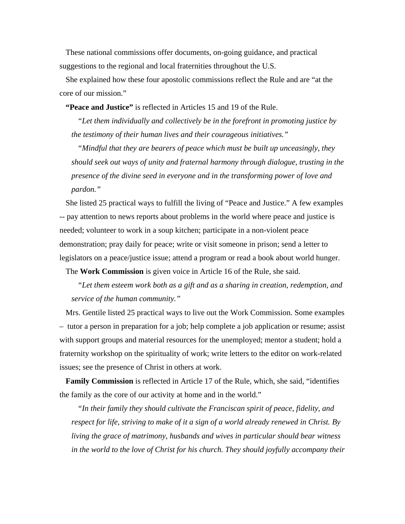These national commissions offer documents, on-going guidance, and practical suggestions to the regional and local fraternities throughout the U.S.

She explained how these four apostolic commissions reflect the Rule and are "at the core of our mission."

**"Peace and Justice"** is reflected in Articles 15 and 19 of the Rule.

*"Let them individually and collectively be in the forefront in promoting justice by the testimony of their human lives and their courageous initiatives."* 

*"Mindful that they are bearers of peace which must be built up unceasingly, they should seek out ways of unity and fraternal harmony through dialogue, trusting in the presence of the divine seed in everyone and in the transforming power of love and pardon."* 

She listed 25 practical ways to fulfill the living of "Peace and Justice." A few examples -- pay attention to news reports about problems in the world where peace and justice is needed; volunteer to work in a soup kitchen; participate in a non-violent peace demonstration; pray daily for peace; write or visit someone in prison; send a letter to legislators on a peace/justice issue; attend a program or read a book about world hunger.

The **Work Commission** is given voice in Article 16 of the Rule, she said.

*"Let them esteem work both as a gift and as a sharing in creation, redemption, and service of the human community."* 

Mrs. Gentile listed 25 practical ways to live out the Work Commission. Some examples – tutor a person in preparation for a job; help complete a job application or resume; assist with support groups and material resources for the unemployed; mentor a student; hold a fraternity workshop on the spirituality of work; write letters to the editor on work-related issues; see the presence of Christ in others at work.

**Family Commission** is reflected in Article 17 of the Rule, which, she said, "identifies the family as the core of our activity at home and in the world."

*"In their family they should cultivate the Franciscan spirit of peace, fidelity, and respect for life, striving to make of it a sign of a world already renewed in Christ. By living the grace of matrimony, husbands and wives in particular should bear witness in the world to the love of Christ for his church. They should joyfully accompany their*